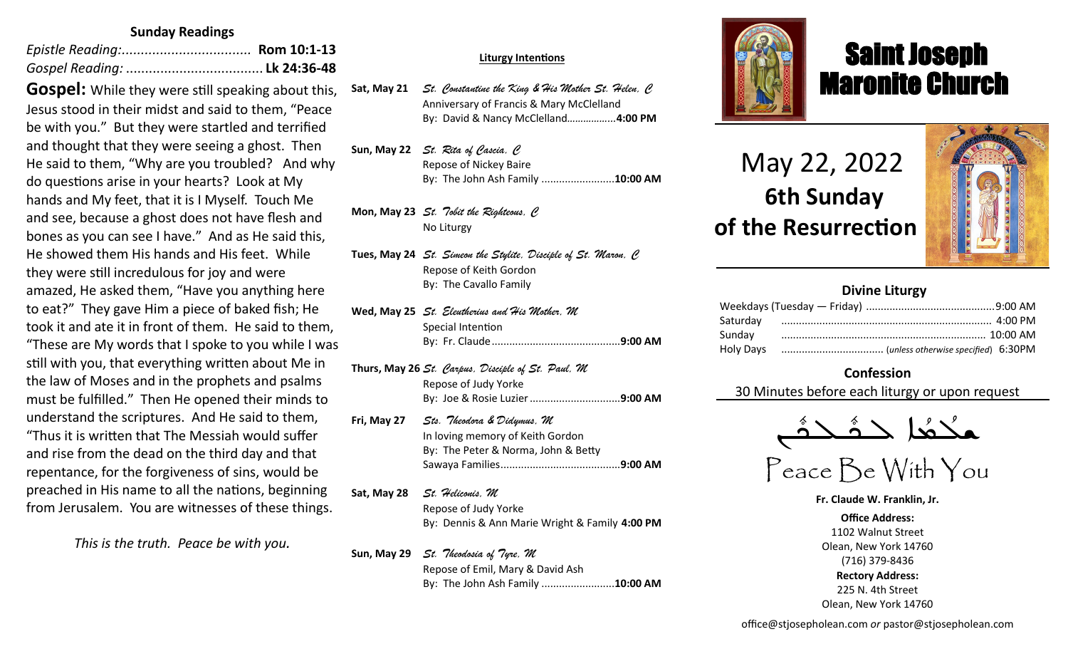## **Sunday Readings**

**Gospel:** While they were still speaking about this, Jesus stood in their midst and said to them, "Peace be with you." But they were startled and terrified and thought that they were seeing a ghost. Then He said to them, "Why are you troubled? And why do questions arise in your hearts? Look at My hands and My feet, that it is I Myself. Touch Me and see, because a ghost does not have flesh and bones as you can see I have." And as He said this, He showed them His hands and His feet. While they were still incredulous for joy and were amazed, He asked them, "Have you anything here to eat?" They gave Him a piece of baked fish; He took it and ate it in front of them. He said to them, "These are My words that I spoke to you while I was still with you, that everything written about Me in the law of Moses and in the prophets and psalms must be fulfilled." Then He opened their minds to understand the scriptures. And He said to them, "Thus it is written that The Messiah would suffer and rise from the dead on the third day and that repentance, for the forgiveness of sins, would be preached in His name to all the nations, beginning from Jerusalem. You are witnesses of these things.

*This is the truth. Peace be with you.*

#### **Sat, Apr 9** *St. Hermas, M* **Liturgy Intentions**

Sat, May 21 St. Constantine the King & His Mother St. Helen, C Anniversary of Francis & Mary McClelland **Sun, Apr 10** *The Miracle of the Icon of Christ in Beirut/St. Agabus, C* By: David & Nancy McClelland*……………...***4:00 PM**

Sun, May 22 *St. Rita of Cascia, C* Repose of Nickey Baire **Mon, Apr 11** *St. Antipas, M* By: The John Ash Family .........................**10:00 AM**

Mon, May 23 *St. Tobit the Righteous, C* **Tue, Apr 12** *Sts. Mennas, Hermogenes and Eugraphus, M* No Liturgy

Tues, May 24 *St. Simeon the Stylite, Disciple of St. Maron, C* **Wed, Apr 13** *St. Zosimas, C* By: The Cavallo Family **Reading: Heb 2:5-12; Jn 11:47-54** Repose of Keith Gordon

- No Liturgy **Wed, May 25** *St. Eleutherius and His Mother, M* **Thur, Apr 14** *Thursday of the Mysteries St. Hermenegild the King, M* Special Intention **Reading: 1 Cor 11:23-32; Jn 13:1-20** By: Fr. Claude............................................**9:00 AM**
- Of Catholic Extension ................................**9:00 AM Thurs, May 26** *St. Carpus, Disciple of St. Paul, M* **Fri, April 15** *Great Friday of the Crucifixion Pope St. Soter (+175), M* By: Joe & Rosie Luzier...............................**9:00 AM Reading: Heb 12:12-21; Jn 19:31-37** Repose of Judy Yorke
- The Intentions & Donors **Fri, May 27** *Sts. Theodora & Didymus, M* In loving memory of Keith Gordon **By: The Peter & Norma, John & Betty**<br>Contains the Light St. Bernade South St. Bernades South St. Bernard St. Bernard St. Bernard St. Bernard St. Berna **Reading: Rom 5:1-11; Mt 27:62-66** Sawaya Families.........................................**9:00 AM**
- Sat, May 28 *St. Heliconis, M* **Suppose of Judy Yorke Popularity Repose St. Agapitus Results Inc. Reading: 1 Cor 15:12-26; Mk 16:1-8** By: Dennis & Ann Marie Wright & Family **4:00 PM** Repose of Judy Yorke

Sun, May 29 *St. Theodosia of Tyre, M* 

Repose of Emil, Mary & David Ash By: The John Ash Family .........................**10:00 AM**



# Saint Joseph Maronite Church

 May 22, 2022  **6th Sunday of the Resurrection**

ī



## **Divine Liturgy**

## **Confession**

30 Minutes before each liturgy or upon request



## Peace Be With You

**Fr. Claude W. Franklin, Jr.**

**Office Address:** 1102 Walnut Street Olean, New York 14760 (716) 379-8436 **Rectory Address:** 225 N. 4th Street Olean, New York 14760

office@stjosepholean.com *or* pastor@stjosepholean.com